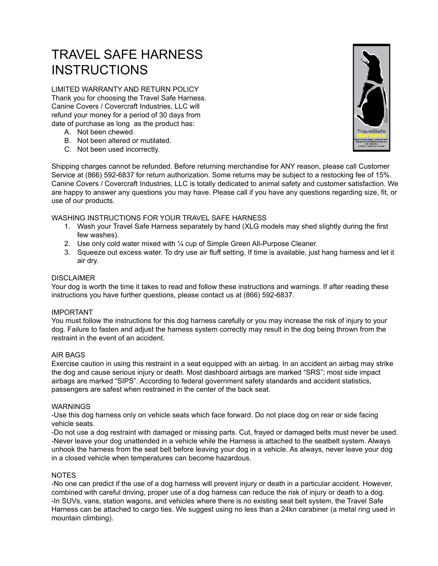# TRAVEL SAFE HARNESS **INSTRUCTIONS**

LIMITED WARRANTY AND RETURN POLICY Thank you for choosing the Travel Safe Harness. [Canine Covers](http://www.caninecovers.com) / [Covercraft Industries, LLC](http://www.covercraft.com) will refund your money for a period of 30 days from date of purchase as long as the product has:

- A. Not been chewed.
- B. Not been altered or mutilated.
- C. Not been used incorrectly.



Shipping charges cannot be refunded. Before returning merchandise for ANY reason, please call Customer Service at (866) 592-6837 for return authorization. Some returns may be subject to a restocking fee of 15%. [Canine Covers](http://www.caninecovers.com) / [Covercraft Industries, LLC](http://www.covercraft.com) is totally dedicated to animal safety and customer satisfaction. We are happy to answer any questions you may have. Please call if you have any questions regarding size, fit, or use of our products.

### WASHING INSTRUCTIONS FOR YOUR TRAVEL SAFE HARNESS

- 1. Wash your Travel Safe Harness separately by hand (XLG models may shed slightly during the first few washes).
- 2. Use only cold water mixed with ¼ cup of Simple Green All-Purpose Cleaner.
- 3. Squeeze out excess water. To dry use air fluff setting. If time is available, just hang harness and let it air dry.

#### DISCLAIMER

Your dog is worth the time it takes to read and follow these instructions and warnings. If after reading these instructions you have further questions, please contact us at (866) 592-6837.

#### IMPORTANT

You must follow the instructions for this dog harness carefully or you may increase the risk of injury to your dog. Failure to fasten and adjust the harness system correctly may result in the dog being thrown from the restraint in the event of an accident.

#### AIR BAGS

Exercise caution in using this restraint in a seat equipped with an airbag. In an accident an airbag may strike the dog and cause serious injury or death. Most dashboard airbags are marked "SRS"; most side impact airbags are marked "SIPS". According to federal government safety standards and accident statistics, passengers are safest when restrained in the center of the back seat.

#### WARNINGS

-Use this dog harness only on vehicle seats which face forward. Do not place dog on rear or side facing vehicle seats.

-Do not use a dog restraint with damaged or missing parts. Cut, frayed or damaged belts must never be used. -Never leave your dog unattended in a vehicle while the Harness is attached to the seatbelt system. Always unhook the harness from the seat belt before leaving your dog in a vehicle. As always, never leave your dog in a closed vehicle when temperatures can become hazardous.

#### **NOTES**

-No one can predict if the use of a dog harness will prevent injury or death in a particular accident. However, combined with careful driving, proper use of a dog harness can reduce the risk of injury or death to a dog. -In SUVs, vans, station wagons, and vehicles where there is no existing seat belt system, the Travel Safe Harness can be attached to cargo ties. We suggest using no less than a 24kn carabiner (a metal ring used in mountain climbing).